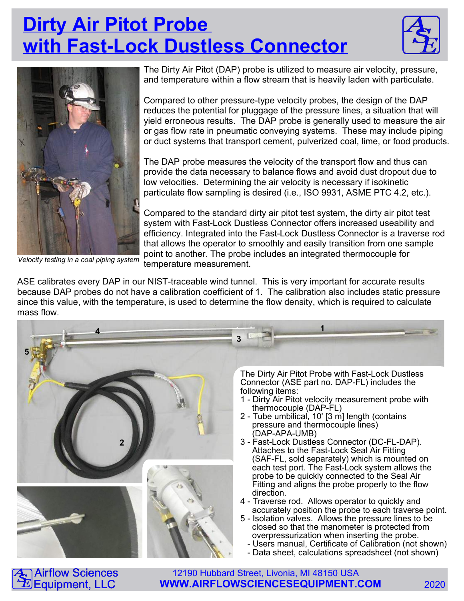## **Dirty Air Pitot Probe with Fast-Lock Dustless Connector**





Velocity testing in a coal piping system

 $\overline{\mathbf{S}}$  $\mathbf{\tilde{E}}$ 

Airflow Sciences Equipment, LLC

The Dirty Air Pitot (DAP) probe is utilized to measure air velocity, pressure, and temperature within a flow stream that is heavily laden with particulate.

Compared to other pressure-type velocity probes, the design of the DAP reduces the potential for pluggage of the pressure lines, a situation that will yield erroneous results. The DAP probe is generally used to measure the air or gas flow rate in pneumatic conveying systems. These may include piping or duct systems that transport cement, pulverized coal, lime, or food products.

The DAP probe measures the velocity of the transport flow and thus can provide the data necessary to balance flows and avoid dust dropout due to low velocities. Determining the air velocity is necessary if isokinetic particulate flow sampling is desired (i.e., ISO 9931, ASME PTC 4.2, etc.).

Compared to the standard dirty air pitot test system, the dirty air pitot test system with Fast-Lock Dustless Connector offers increased useability and efficiency. Integrated into the Fast-Lock Dustless Connector is a traverse rod that allows the operator to smoothly and easily transition from one sample point to another. The probe includes an integrated thermocouple for temperature measurement.



12190 Hubbard Street, Livonia, MI 48150 USA

ASE calibrates every DAP in our NIST-traceable wind tunnel. This is very important for accurate results because DAP probes do not have a calibration coefficient of 1. The calibration also includes static pressure since this value, with the temperature, is used to determine the flow density, which is required to calculate mass flow.

**WWW.AIRFLOWSCIENCESEQUIPMENT.COM** 2020